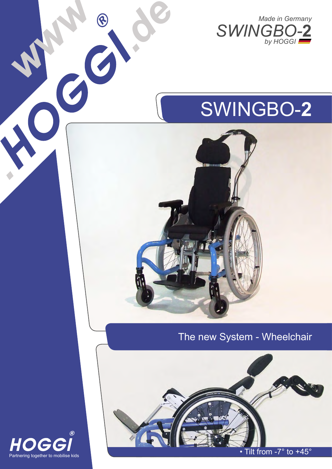



#### The new System - Wheelchair





*.*

*de www*

*.*

• Tilt from  $-7^\circ$  to  $+45^\circ$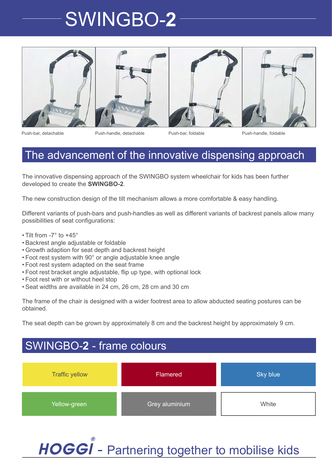





Push-bar, detachable Push-handle, detachable Push-bar, foldable Push-handle, foldable

#### The advancement of the innovative dispensing approach

The innovative dispensing approach of the SWINGBO system wheelchair for kids has been further developed to create the **SWINGBO-2**.

The new construction design of the tilt mechanism allows a more comfortable & easy handling.

Different variants of push-bars and push-handles as well as different variants of backrest panels allow many possibilities of seat configurations:

- Tilt from -7 $\degree$  to +45 $\degree$
- Backrest angle adjustable or foldable •
- Growth adaption for seat depth and backrest height •
- Foot rest system with 90° or angle adjustable knee angle •
- Foot rest system adapted on the seat frame •
- Foot rest bracket angle adjustable, flip up type, with optional lock •
- Foot rest with or without heel stop •
- Seat widths are available in 24 cm, 26 cm, 28 cm and 30 cm •

The frame of the chair is designed with a wider footrest area to allow abducted seating postures can be obtained.

The seat depth can be grown by approximately 8 cm and the backrest height by approximately 9 cm.

### SWINGBO-**2** - frame colours



HOGGI - Partnering together to mobilise kids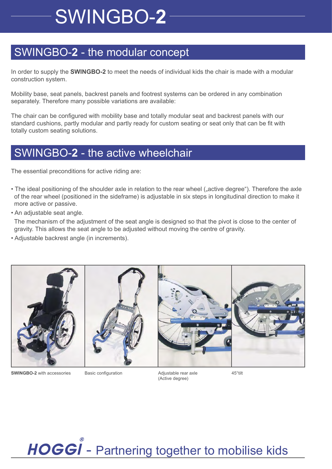### SWINGBO-**2** - the modular concept

In order to supply the **SWINGBO-2** to meet the needs of individual kids the chair is made with a modular construction system.

Mobility base, seat panels, backrest panels and footrest systems can be ordered in any combination separately. Therefore many possible variations are available:

The chair can be configured with mobility base and totally modular seat and backrest panels with our standard cushions, partly modular and partly ready for custom seating or seat only that can be fit with totally custom seating solutions.

### SWINGBO-**2** - the active wheelchair

The essential preconditions for active riding are:

- The ideal positioning of the shoulder axle in relation to the rear wheel ("active degree"). Therefore the axle of the rear wheel (positioned in the sideframe) is adjustable in six steps in longitudinal direction to make it more active or passive.
- An adjustable seat angle.

 The mechanism of the adjustment of the seat angle is designed so that the pivot is close to the center of gravity. This allows the seat angle to be adjusted without moving the centre of gravity.

• Adjustable backrest angle (in increments).



**SWINGBO-2** with accessories Basic configuration Adjustable rear axle 45°tilt

Adjustable rear axle (Active degree)

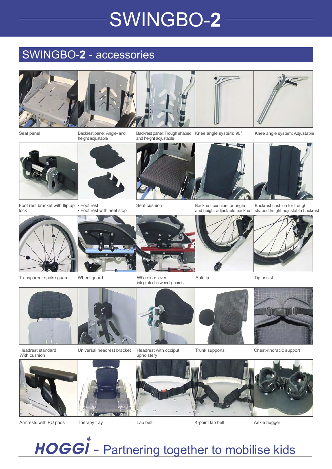### SWINGBO-**2** - accessories

height adjustable







Seat panel **Example 20 System:** 90° Backrest panel: Angle- and Backrest panel: Trough shaped Knee angle system: 90° and height adjustable



Knee angle system: Adjustable



Foot rest bracket with flip up • Foot rest lock



Seat cushion • Foot rest with heel stop

Transparent spoke guard Wheel guard Wheel lock lever Anti tip Tip assist Wheel lock lever integrated in wheel guards



Backrest cushion for trough





Headrest standard: With cushion



Universal headrest bracket

Headrest with occiput upholstery



Anti tip

Trunk supports Chest-/thoracic support



Armrests with PU pads



HOGGI - Partnering together to mobilise kids





Backrest cushion for angleand height adjustable backrest shaped height adjustable backrest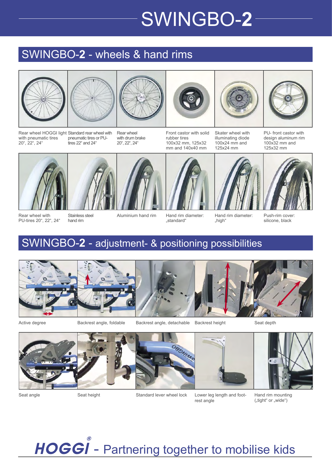### SWINGBO-**2** - wheels & hand rims













Rear wheel HOGGI light Standard rear wheel with with pneumatic tires 20", 22", 24" tires 22" and 24"

pneumatic tires or PU-

Rear wheel with drum brake 20", 22", 24"

Front castor with solid rubber tires 100x32 mm, 125x32 mm and 140x40 mm

Skater wheel with illuminating diode 100x24 mm and 125x24 mm

PU- front castor with design aluminum rim 100x32 mm and 125x32 mm



Rear wheel with PU-tires 20", 22", 24"



Stainless steel hand rim



Aluminium hand rim Hand rim diameter:



"standard"



Hand rim diameter:



Push-rim cover: silicone, black

### SWINGBO-**2** - adjustment- & positioning possibilities



Active degree

Backrest angle, foldable beackrest angle, detachable Backrest height statest Seat depth



Lower leg length and foot-



Seat height



HOGGI - Partnering together to mobilise kids





"high"